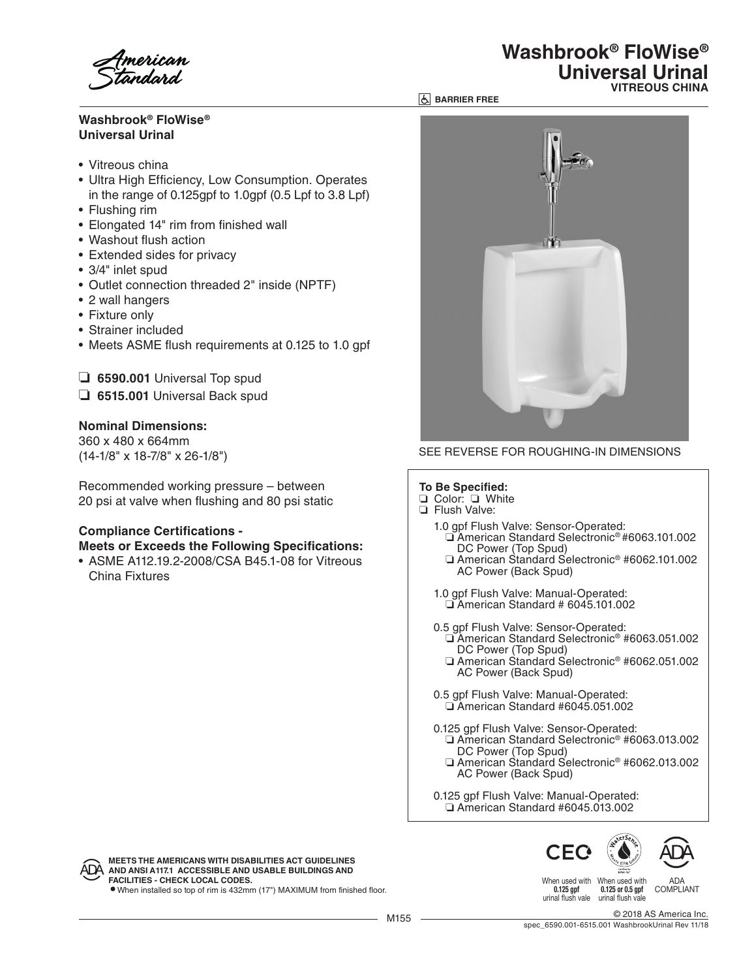# **Washbrook® FloWise® Universal Urinal**

- Vitreous china
- Ultra High Efficiency, Low Consumption. Operates in the range of 0.125gpf to 1.0gpf (0.5 Lpf to 3.8 Lpf)
- Flushing rim
- Elongated 14" rim from finished wall
- Washout flush action
- Extended sides for privacy
- 3/4" inlet spud
- Outlet connection threaded 2" inside (NPTF)
- 2 wall hangers
- Fixture only
- Strainer included
- Meets ASME flush requirements at 0.125 to 1.0 gpf
- ❏ **6590.001** Universal Top spud
- ❏ **6515.001** Universal Back spud

### **Nominal Dimensions:**

360 x 480 x 664mm (14-1/8" x 18-7/8" x 26-1/8")

Recommended working pressure – between 20 psi at valve when flushing and 80 psi static

#### **Compliance Certifications - Meets or Exceeds the Following Specifications:**

• ASME A112.19.2-2008/CSA B45.1-08 for Vitreous China Fixtures



**<b>BARRIER FREE** 

## SEE REVERSE FOR ROUGHING-IN DIMENSIONS

#### **To Be Specified:**

❏ Color: ❏ White

❏ Flush Valve:

- 1.0 gpf Flush Valve: Sensor-Operated: ❏ American Standard Selectronic® #6063.101.002
	- ❏ American Standard Selectronic® #6062.101.002 AC Power (Back Spud)
- 1.0 gpf Flush Valve: Manual-Operated: ❏ American Standard # 6045.101.002
- 0.5 gpf Flush Valve: Sensor-Operated: ❏ American Standard Selectronic® #6063.051.002 DC Power (Top Spud)
	- ❏ American Standard Selectronic® #6062.051.002 AC Power (Back Spud)
- 0.5 gpf Flush Valve: Manual-Operated: ❏ American Standard #6045.051.002
- 0.125 gpf Flush Valve: Sensor-Operated: ❏ American Standard Selectronic® #6063.013.002 DC Power (Top Spud)
- ❏ American Standard Selectronic® #6062.013.002 AC Power (Back Spud)
	- 0.125 gpf Flush Valve: Manual-Operated: ❏ American Standard #6045.013.002





**MEETS THE AMERICANS WITH DISABILITIES ACT GUIDELINES AND ANSI A117.1 ACCESSIBLE AND USABLE BUILDINGS AND FACILITIES - CHECK LOCAL CODES.**

When installed so top of rim is 432mm (17") MAXIMUM from finished floor.

When used with When used with 0.125 gpf urinal flush vale urinal flush vale

0.125 or 0.5 gpf ADA COMPLIANT

M155 © 2018 AS America Inc. spec\_6590.001-6515.001 WashbrookUrinal Rev 11/18



# **Washbrook® FloWise® Universal Urinal VITREOUS CHINA**